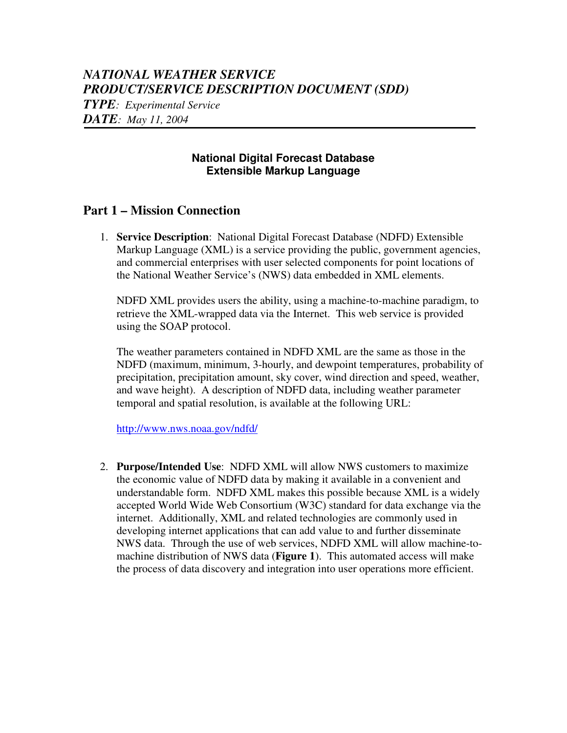# *NATIONAL WEATHER SERVICE PRODUCT/SERVICE DESCRIPTION DOCUMENT (SDD)*

*TYPE: Experimental Service*

*DATE: May 11, 2004*

#### **National Digital Forecast Database Extensible Markup Language**

#### **Part 1 – Mission Connection**

1. **Service Description**: National Digital Forecast Database (NDFD) Extensible Markup Language (XML) is a service providing the public, government agencies, and commercial enterprises with user selected components for point locations of the National Weather Service's (NWS) data embedded in XML elements.

NDFD XML provides users the ability, using a machine-to-machine paradigm, to retrieve the XML-wrapped data via the Internet. This web service is provided using the SOAP protocol.

The weather parameters contained in NDFD XML are the same as those in the NDFD (maximum, minimum, 3-hourly, and dewpoint temperatures, probability of precipitation, precipitation amount, sky cover, wind direction and speed, weather, and wave height). A description of NDFD data, including weather parameter temporal and spatial resolution, is available at the following URL:

http://www.nws.noaa.gov/ndfd/

2. **Purpose/Intended Use**: NDFD XML will allow NWS customers to maximize the economic value of NDFD data by making it available in a convenient and understandable form. NDFD XML makes this possible because XML is a widely accepted World Wide Web Consortium (W3C) standard for data exchange via the internet. Additionally, XML and related technologies are commonly used in developing internet applications that can add value to and further disseminate NWS data. Through the use of web services, NDFD XML will allow machine-tomachine distribution of NWS data (**Figure 1**). This automated access will make the process of data discovery and integration into user operations more efficient.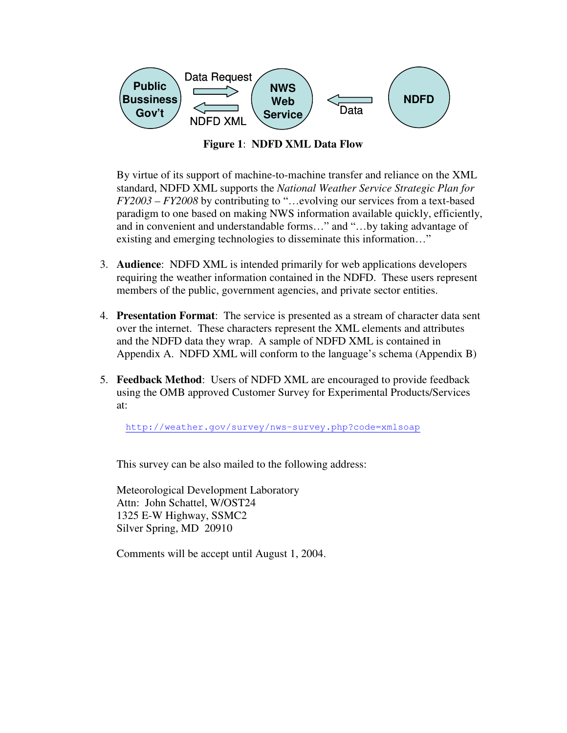

**Figure 1**: **NDFD XML Data Flow**

By virtue of its support of machine-to-machine transfer and reliance on the XML standard, NDFD XML supports the *National Weather Service Strategic Plan for FY2003 – FY2008* by contributing to "…evolving our services from a text-based paradigm to one based on making NWS information available quickly, efficiently, and in convenient and understandable forms…" and "…by taking advantage of existing and emerging technologies to disseminate this information…"

- 3. **Audience**: NDFD XML is intended primarily for web applications developers requiring the weather information contained in the NDFD. These users represent members of the public, government agencies, and private sector entities.
- 4. **Presentation Format**: The service is presented as a stream of character data sent over the internet. These characters represent the XML elements and attributes and the NDFD data they wrap. A sample of NDFD XML is contained in Appendix A. NDFD XML will conform to the language's schema (Appendix B)
- 5. **Feedback Method**: Users of NDFD XML are encouraged to provide feedback using the OMB approved Customer Survey for Experimental Products/Services at:

http://weather.gov/survey/nws-survey.php?code=xmlsoap

This survey can be also mailed to the following address:

Meteorological Development Laboratory Attn: John Schattel, W/OST24 1325 E-W Highway, SSMC2 Silver Spring, MD 20910

Comments will be accept until August 1, 2004.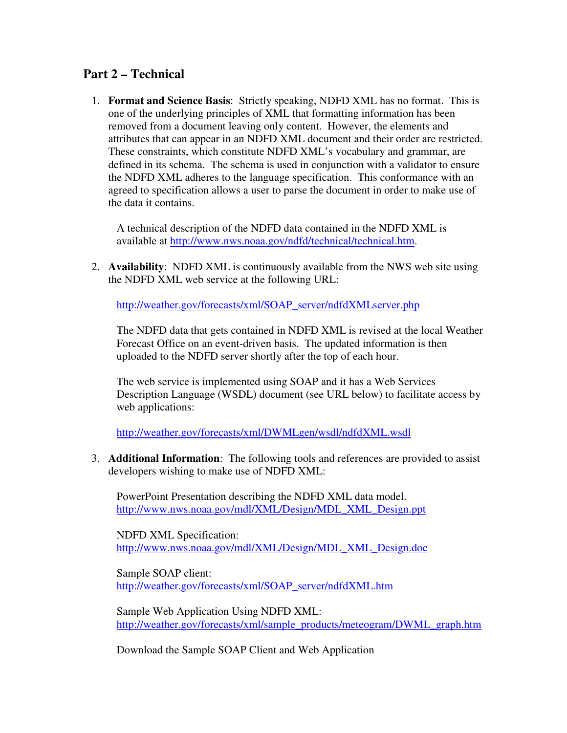### **Part 2 – Technical**

1. **Format and Science Basis**: Strictly speaking, NDFD XML has no format. This is one of the underlying principles of XML that formatting information has been removed from a document leaving only content. However, the elements and attributes that can appear in an NDFD XML document and their order are restricted. These constraints, which constitute NDFD XML's vocabulary and grammar, are defined in its schema. The schema is used in conjunction with a validator to ensure the NDFD XML adheres to the language specification. This conformance with an agreed to specification allows a user to parse the document in order to make use of the data it contains.

A technical description of the NDFD data contained in the NDFD XML is available at http://www.nws.noaa.gov/ndfd/technical/technical.htm.

2. **Availability**: NDFD XML is continuously available from the NWS web site using the NDFD XML web service at the following URL:

http://weather.gov/forecasts/xml/SOAP\_server/ndfdXMLserver.php

The NDFD data that gets contained in NDFD XML is revised at the local Weather Forecast Office on an event-driven basis. The updated information is then uploaded to the NDFD server shortly after the top of each hour.

The web service is implemented using SOAP and it has a Web Services Description Language (WSDL) document (see URL below) to facilitate access by web applications:

http://weather.gov/forecasts/xml/DWMLgen/wsdl/ndfdXML.wsdl

3. **Additional Information**: The following tools and references are provided to assist developers wishing to make use of NDFD XML:

PowerPoint Presentation describing the NDFD XML data model. http://www.nws.noaa.gov/mdl/XML/Design/MDL\_XML\_Design.ppt

NDFD XML Specification: http://www.nws.noaa.gov/mdl/XML/Design/MDL\_XML\_Design.doc

Sample SOAP client: http://weather.gov/forecasts/xml/SOAP\_server/ndfdXML.htm

Sample Web Application Using NDFD XML: http://weather.gov/forecasts/xml/sample\_products/meteogram/DWML\_graph.htm

Download the Sample SOAP Client and Web Application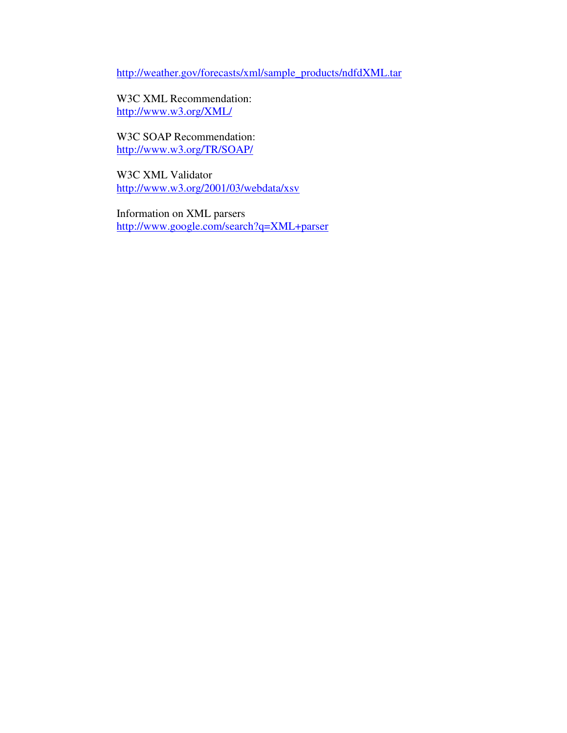http://weather.gov/forecasts/xml/sample\_products/ndfdXML.tar

W3C XML Recommendation: http://www.w3.org/XML/

W3C SOAP Recommendation: http://www.w3.org/TR/SOAP/

W3C XML Validator http://www.w3.org/2001/03/webdata/xsv

Information on XML parsers http://www.google.com/search?q=XML+parser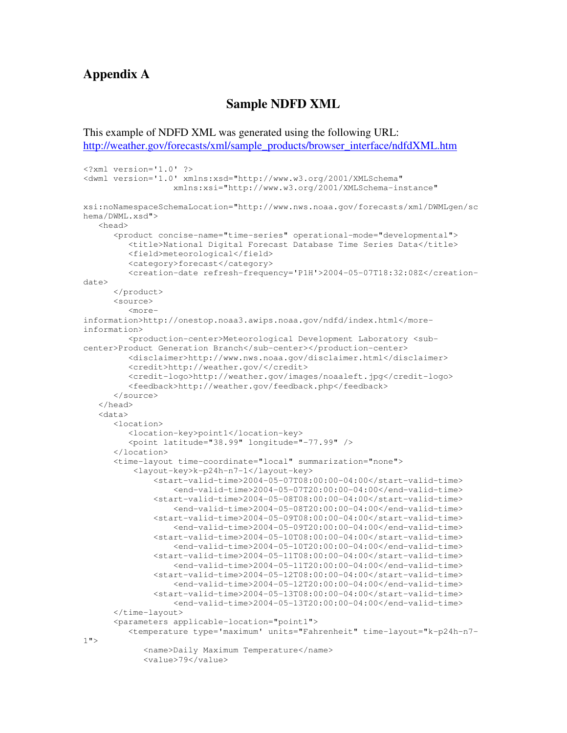#### **Appendix A**

#### **Sample NDFD XML**

This example of NDFD XML was generated using the following URL: http://weather.gov/forecasts/xml/sample\_products/browser\_interface/ndfdXML.htm

```
<?xml version='1.0' ?>
<dwml version='1.0' xmlns:xsd="http://www.w3.org/2001/XMLSchema"
                  xmlns:xsi="http://www.w3.org/2001/XMLSchema-instance"
xsi:noNamespaceSchemaLocation="http://www.nws.noaa.gov/forecasts/xml/DWMLgen/sc
hema/DWML.xsd">
   <head>
      <product concise-name="time-series" operational-mode="developmental">
         <title>National Digital Forecast Database Time Series Data</title>
         <field>meteorological</field>
         <category>forecast</category>
         <creation-date refresh-frequency='P1H'>2004-05-07T18:32:08Z</creation-
date>
      </product>
      <source>
         <more-
information>http://onestop.noaa3.awips.noaa.gov/ndfd/index.html</more-
information>
         <production-center>Meteorological Development Laboratory <sub-
center>Product Generation Branch</sub-center></production-center>
         <disclaimer>http://www.nws.noaa.gov/disclaimer.html</disclaimer>
         <credit>http://weather.gov/</credit>
         <credit-logo>http://weather.gov/images/noaaleft.jpg</credit-logo>
         <feedback>http://weather.gov/feedback.php</feedback>
      </source>
   </head>
   <data>
      <location>
         <location-key>point1</location-key>
         <point latitude="38.99" longitude="-77.99" />
      </location>
      <time-layout time-coordinate="local" summarization="none">
          <layout-key>k-p24h-n7-1</layout-key>
              <start-valid-time>2004-05-07T08:00:00-04:00</start-valid-time>
                  <end-valid-time>2004-05-07T20:00:00-04:00</end-valid-time>
              <start-valid-time>2004-05-08T08:00:00-04:00</start-valid-time>
                  <end-valid-time>2004-05-08T20:00:00-04:00</end-valid-time>
              <start-valid-time>2004-05-09T08:00:00-04:00</start-valid-time>
                  <end-valid-time>2004-05-09T20:00:00-04:00</end-valid-time>
              <start-valid-time>2004-05-10T08:00:00-04:00</start-valid-time>
                  <end-valid-time>2004-05-10T20:00:00-04:00</end-valid-time>
              <start-valid-time>2004-05-11T08:00:00-04:00</start-valid-time>
                  <end-valid-time>2004-05-11T20:00:00-04:00</end-valid-time>
              <start-valid-time>2004-05-12T08:00:00-04:00</start-valid-time>
                  <end-valid-time>2004-05-12T20:00:00-04:00</end-valid-time>
              <start-valid-time>2004-05-13T08:00:00-04:00</start-valid-time>
                  <end-valid-time>2004-05-13T20:00:00-04:00</end-valid-time>
      </time-layout>
      <parameters applicable-location="point1">
         <temperature type='maximum' units="Fahrenheit" time-layout="k-p24h-n7-
1 \sqrt{ }<name>Daily Maximum Temperature</name>
            <value>79</value>
```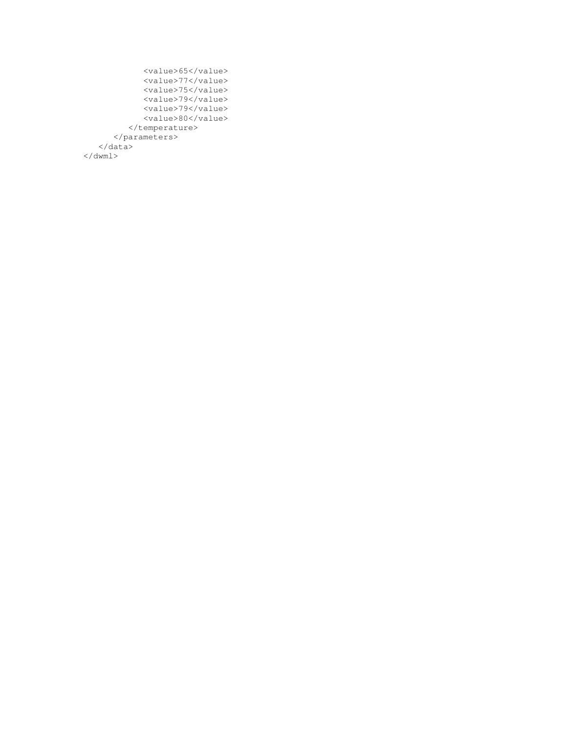```
<value>65</value>
            <value>77</value>
            <value>75</value>
            <value>79</value>
            <value>79</value>
            <value>80</value>
         </temperature>
      </parameters>
  </data>
\langle /dwml\rangle
```